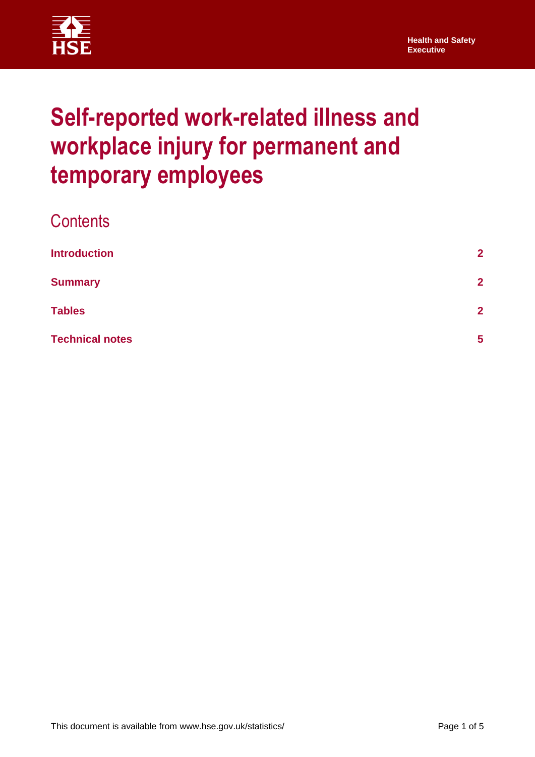

# **Self-reported work-related illness and workplace injury for permanent and temporary employees**

| <b>Contents</b>        |                |
|------------------------|----------------|
| <b>Introduction</b>    | $\overline{2}$ |
| <b>Summary</b>         | $\overline{2}$ |
| <b>Tables</b>          | $\overline{2}$ |
| <b>Technical notes</b> | 5              |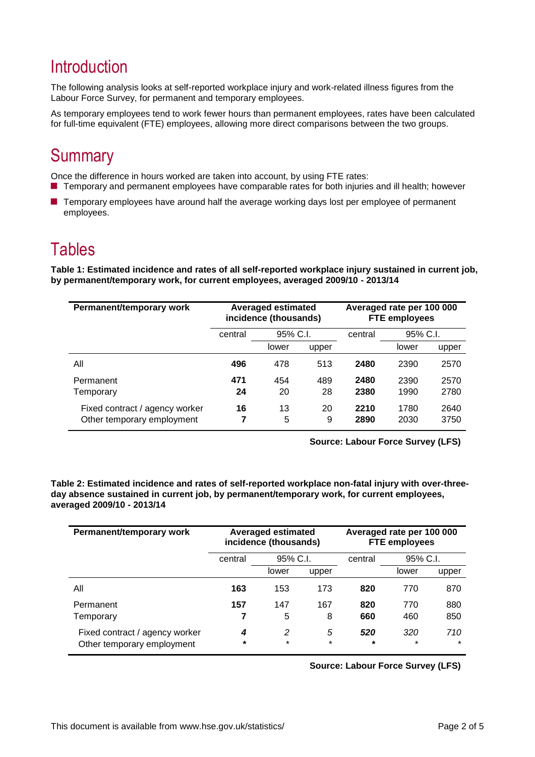# <span id="page-1-0"></span>**Introduction**

The following analysis looks at self-reported workplace injury and work-related illness figures from the Labour Force Survey, for permanent and temporary employees.

As temporary employees tend to work fewer hours than permanent employees, rates have been calculated for full-time equivalent (FTE) employees, allowing more direct comparisons between the two groups.

# <span id="page-1-1"></span>**Summary**

Once the difference in hours worked are taken into account, by using FTE rates: ■ Temporary and permanent employees have comparable rates for both injuries and ill health; however

**T** Temporary employees have around half the average working days lost per employee of permanent employees.

### <span id="page-1-2"></span>**Tables**

**Table 1: Estimated incidence and rates of all self-reported workplace injury sustained in current job, by permanent/temporary work, for current employees, averaged 2009/10 - 2013/14**

| Permanent/temporary work                                     | <b>Averaged estimated</b><br>incidence (thousands) |          |         |              | Averaged rate per 100 000<br><b>FTE employees</b> |              |
|--------------------------------------------------------------|----------------------------------------------------|----------|---------|--------------|---------------------------------------------------|--------------|
|                                                              | central                                            | 95% C.I. |         | central      | 95% C.I.                                          |              |
|                                                              |                                                    | lower    | upper   |              | lower                                             | upper        |
| All                                                          | 496                                                | 478      | 513     | 2480         | 2390                                              | 2570         |
| Permanent                                                    | 471                                                | 454      | 489     | 2480         | 2390                                              | 2570         |
| Temporary                                                    | 24                                                 | 20       | 28      | 2380         | 1990                                              | 2780         |
| Fixed contract / agency worker<br>Other temporary employment | 16<br>7                                            | 13<br>5  | 20<br>9 | 2210<br>2890 | 1780<br>2030                                      | 2640<br>3750 |

**Source: Labour Force Survey (LFS)**

**Table 2: Estimated incidence and rates of self-reported workplace non-fatal injury with over-threeday absence sustained in current job, by permanent/temporary work, for current employees, averaged 2009/10 - 2013/14**

| Permanent/temporary work                                     | <b>Averaged estimated</b><br>incidence (thousands) |              |              |                | Averaged rate per 100 000<br><b>FTE employees</b> |                |
|--------------------------------------------------------------|----------------------------------------------------|--------------|--------------|----------------|---------------------------------------------------|----------------|
|                                                              | central                                            | 95% C.I.     |              | central        | 95% C.I.                                          |                |
|                                                              |                                                    | lower        | upper        |                | lower                                             | upper          |
| All                                                          | 163                                                | 153          | 173          | 820            | 770                                               | 870            |
| Permanent                                                    | 157                                                | 147          | 167          | 820            | 770                                               | 880            |
| Temporary                                                    |                                                    | 5            | 8            | 660            | 460                                               | 850            |
| Fixed contract / agency worker<br>Other temporary employment | 4<br>$\star$                                       | 2<br>$\star$ | 5<br>$\star$ | 520<br>$\star$ | 320<br>$\star$                                    | 710<br>$\star$ |

**Source: Labour Force Survey (LFS)**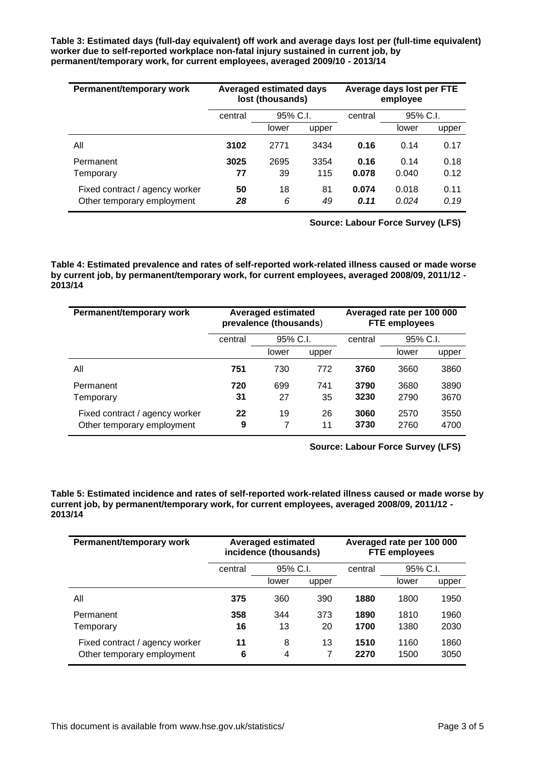**Table 3: Estimated days (full-day equivalent) off work and average days lost per (full-time equivalent) worker due to self-reported workplace non-fatal injury sustained in current job, by permanent/temporary work, for current employees, averaged 2009/10 - 2013/14**

| Permanent/temporary work                                     | <b>Averaged estimated days</b><br>lost (thousands) |          |          |               | Average days lost per FTE<br>employee |              |
|--------------------------------------------------------------|----------------------------------------------------|----------|----------|---------------|---------------------------------------|--------------|
|                                                              | central                                            | 95% C.I. |          | central       | 95% C.I.                              |              |
|                                                              |                                                    | lower    | upper    |               | lower                                 | upper        |
| All                                                          | 3102                                               | 2771     | 3434     | 0.16          | 0.14                                  | 0.17         |
| Permanent                                                    | 3025                                               | 2695     | 3354     | 0.16          | 0.14                                  | 0.18         |
| Temporary                                                    | 77                                                 | 39       | 115      | 0.078         | 0.040                                 | 0.12         |
| Fixed contract / agency worker<br>Other temporary employment | 50<br>28                                           | 18<br>6  | 81<br>49 | 0.074<br>0.11 | 0.018<br>0.024                        | 0.11<br>0.19 |

**Source: Labour Force Survey (LFS)**

**Table 4: Estimated prevalence and rates of self-reported work-related illness caused or made worse by current job, by permanent/temporary work, for current employees, averaged 2008/09, 2011/12 - 2013/14**

| Permanent/temporary work                                     | <b>Averaged estimated</b><br>prevalence (thousands) |          |          |              | Averaged rate per 100 000<br><b>FTE employees</b> |              |
|--------------------------------------------------------------|-----------------------------------------------------|----------|----------|--------------|---------------------------------------------------|--------------|
|                                                              | central                                             | 95% C.I. |          | central      | 95% C.I.                                          |              |
|                                                              |                                                     | lower    | upper    |              | lower                                             | upper        |
| All                                                          | 751                                                 | 730      | 772      | 3760         | 3660                                              | 3860         |
| Permanent                                                    | 720                                                 | 699      | 741      | 3790         | 3680                                              | 3890         |
| Temporary                                                    | 31                                                  | 27       | 35       | 3230         | 2790                                              | 3670         |
| Fixed contract / agency worker<br>Other temporary employment | 22<br>9                                             | 19<br>7  | 26<br>11 | 3060<br>3730 | 2570<br>2760                                      | 3550<br>4700 |

**Source: Labour Force Survey (LFS)**

**Table 5: Estimated incidence and rates of self-reported work-related illness caused or made worse by current job, by permanent/temporary work, for current employees, averaged 2008/09, 2011/12 - 2013/14**

| Permanent/temporary work                                     | <b>Averaged estimated</b><br>incidence (thousands) |          |       | Averaged rate per 100 000<br><b>FTE employees</b> |              |              |
|--------------------------------------------------------------|----------------------------------------------------|----------|-------|---------------------------------------------------|--------------|--------------|
|                                                              | central                                            | 95% C.I. |       | central                                           | 95% C.I.     |              |
|                                                              |                                                    | lower    | upper |                                                   | lower        | upper        |
| All                                                          | 375                                                | 360      | 390   | 1880                                              | 1800         | 1950         |
| Permanent                                                    | 358                                                | 344      | 373   | 1890                                              | 1810         | 1960         |
| Temporary                                                    | 16                                                 | 13       | 20    | 1700                                              | 1380         | 2030         |
| Fixed contract / agency worker<br>Other temporary employment | 11<br>6                                            | 8<br>4   | 13    | 1510<br>2270                                      | 1160<br>1500 | 1860<br>3050 |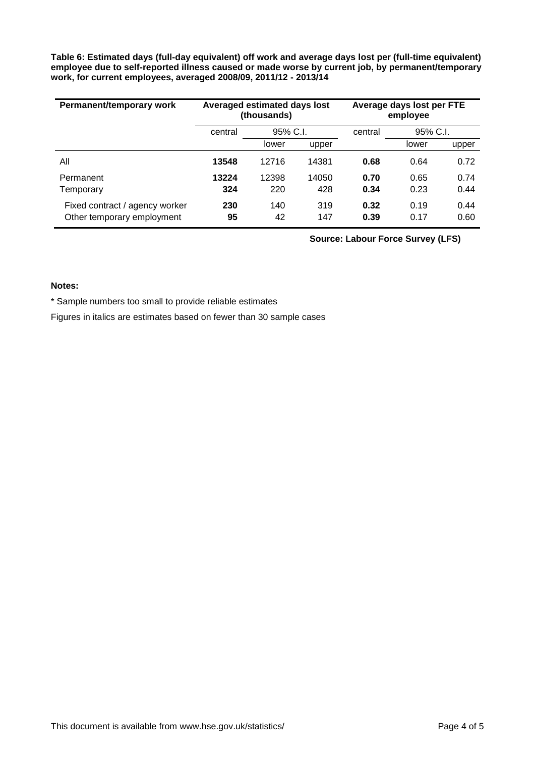**Table 6: Estimated days (full-day equivalent) off work and average days lost per (full-time equivalent) employee due to self-reported illness caused or made worse by current job, by permanent/temporary work, for current employees, averaged 2008/09, 2011/12 - 2013/14**

| Permanent/temporary work                                     | Averaged estimated days lost<br>(thousands) |              |              |              | Average days lost per FTE<br>employee |              |
|--------------------------------------------------------------|---------------------------------------------|--------------|--------------|--------------|---------------------------------------|--------------|
|                                                              | central                                     | 95% C.I.     |              | central      | 95% C.I.                              |              |
|                                                              |                                             | lower        | upper        |              | lower                                 | upper        |
| Αll                                                          | 13548                                       | 12716        | 14381        | 0.68         | 0.64                                  | 0.72         |
| Permanent<br>Temporary                                       | 13224<br>324                                | 12398<br>220 | 14050<br>428 | 0.70<br>0.34 | 0.65<br>0.23                          | 0.74<br>0.44 |
| Fixed contract / agency worker<br>Other temporary employment | 230<br>95                                   | 140<br>42    | 319<br>147   | 0.32<br>0.39 | 0.19<br>0.17                          | 0.44<br>0.60 |

**Source: Labour Force Survey (LFS)**

#### **Notes:**

\* Sample numbers too small to provide reliable estimates

Figures in italics are estimates based on fewer than 30 sample cases